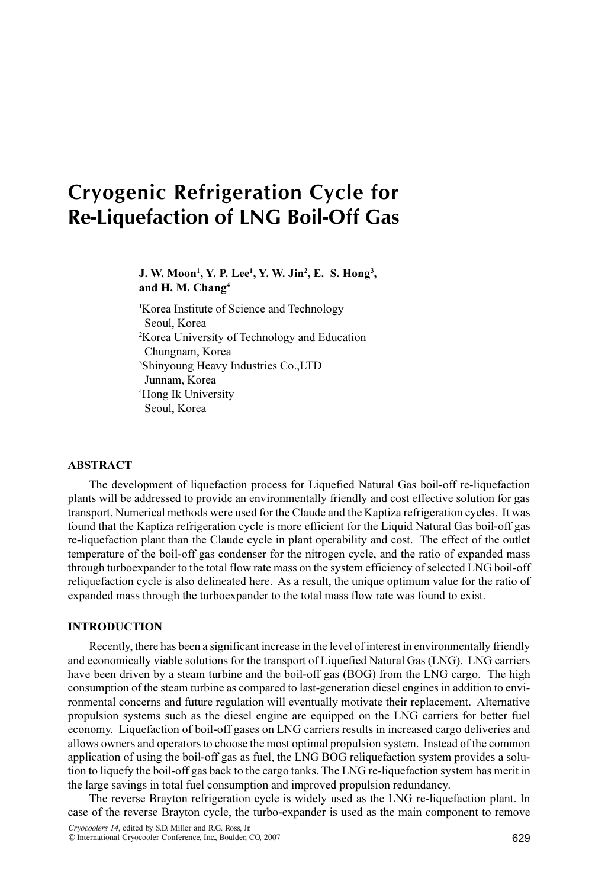# Cryogenic Refrigeration Cycle for Re-Liquefaction of LNG Boil-Off Gas

## J. W. Moon<sup>1</sup>, Y. P. Lee<sup>1</sup>, Y. W. Jin<sup>2</sup>, E. S. Hong<sup>3</sup>, and H. M. Chang<sup>4</sup>

<sup>1</sup>Korea Institute of Science and Technology Seoul, Korea 2 Korea University of Technology and Education Chungnam, Korea 3 Shinyoung Heavy Industries Co.,LTD Junnam, Korea 4 Hong Ik University Seoul, Korea

#### **ABSTRACT**

The development of liquefaction process for Liquefied Natural Gas boil-off re-liquefaction plants will be addressed to provide an environmentally friendly and cost effective solution for gas transport. Numerical methods were used for the Claude and the Kaptiza refrigeration cycles. It was found that the Kaptiza refrigeration cycle is more efficient for the Liquid Natural Gas boil-off gas re-liquefaction plant than the Claude cycle in plant operability and cost. The effect of the outlet temperature of the boil-off gas condenser for the nitrogen cycle, and the ratio of expanded mass through turboexpander to the total flow rate mass on the system efficiency of selected LNG boil-off reliquefaction cycle is also delineated here. As a result, the unique optimum value for the ratio of expanded mass through the turboexpander to the total mass flow rate was found to exist.

#### INTRODUCTION

Recently, there has been a significant increase in the level of interest in environmentally friendly and economically viable solutions for the transport of Liquefied Natural Gas (LNG). LNG carriers have been driven by a steam turbine and the boil-off gas (BOG) from the LNG cargo. The high consumption of the steam turbine as compared to last-generation diesel engines in addition to environmental concerns and future regulation will eventually motivate their replacement. Alternative propulsion systems such as the diesel engine are equipped on the LNG carriers for better fuel economy. Liquefaction of boil-off gases on LNG carriers results in increased cargo deliveries and allows owners and operators to choose the most optimal propulsion system. Instead of the common application of using the boil-off gas as fuel, the LNG BOG reliquefaction system provides a solution to liquefy the boil-off gas back to the cargo tanks. The LNG re-liquefaction system has merit in the large savings in total fuel consumption and improved propulsion redundancy.

The reverse Brayton refrigeration cycle is widely used as the LNG re-liquefaction plant. In case of the reverse Brayton cycle, the turbo-expander is used as the main component to remove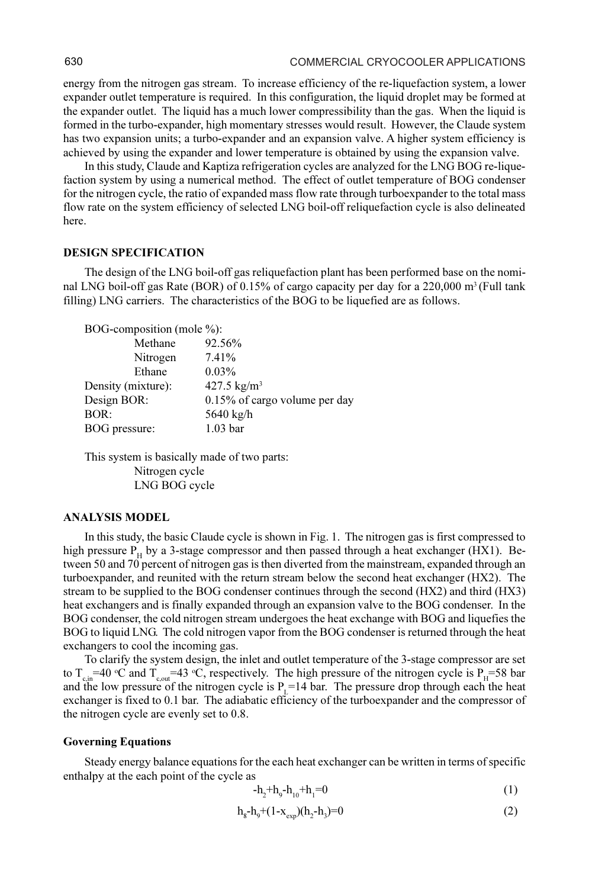energy from the nitrogen gas stream. To increase efficiency of the re-liquefaction system, a lower expander outlet temperature is required. In this configuration, the liquid droplet may be formed at the expander outlet. The liquid has a much lower compressibility than the gas. When the liquid is formed in the turbo-expander, high momentary stresses would result. However, the Claude system has two expansion units; a turbo-expander and an expansion valve. A higher system efficiency is achieved by using the expander and lower temperature is obtained by using the expansion valve.

In this study, Claude and Kaptiza refrigeration cycles are analyzed for the LNG BOG re-liquefaction system by using a numerical method. The effect of outlet temperature of BOG condenser for the nitrogen cycle, the ratio of expanded mass flow rate through turboexpander to the total mass flow rate on the system efficiency of selected LNG boil-off reliquefaction cycle is also delineated here.

## DESIGN SPECIFICATION

The design of the LNG boil-off gas reliquefaction plant has been performed base on the nominal LNG boil-off gas Rate (BOR) of 0.15% of cargo capacity per day for a 220,000 m<sup>3</sup> (Full tank filling) LNG carriers. The characteristics of the BOG to be liquefied are as follows.

BOG-composition (mole %):

| 92.56%                        |
|-------------------------------|
| 7.41%                         |
| $0.03\%$                      |
| 427.5 $\text{kg/m}^3$         |
| 0.15% of cargo volume per day |
| 5640 kg/h                     |
| 1.03 <sub>bar</sub>           |
|                               |

This system is basically made of two parts: Nitrogen cycle LNG BOG cycle

#### ANALYSIS MODEL

In this study, the basic Claude cycle is shown in Fig. 1. The nitrogen gas is first compressed to high pressure  $P_H$  by a 3-stage compressor and then passed through a heat exchanger (HX1). Between 50 and 70 percent of nitrogen gas is then diverted from the mainstream, expanded through an turboexpander, and reunited with the return stream below the second heat exchanger (HX2). The stream to be supplied to the BOG condenser continues through the second (HX2) and third (HX3) heat exchangers and is finally expanded through an expansion valve to the BOG condenser. In the BOG condenser, the cold nitrogen stream undergoes the heat exchange with BOG and liquefies the BOG to liquid LNG. The cold nitrogen vapor from the BOG condenser is returned through the heat exchangers to cool the incoming gas.

To clarify the system design, the inlet and outlet temperature of the 3-stage compressor are set to  $T_{\text{cm}}$  =40 °C and  $T_{\text{cont}}$  =43 °C, respectively. The high pressure of the nitrogen cycle is P<sub>H</sub>=58 bar and the low pressure of the nitrogen cycle is  $P_1=14$  bar. The pressure drop through each the heat exchanger is fixed to 0.1 bar. The adiabatic efficiency of the turboexpander and the compressor of the nitrogen cycle are evenly set to 0.8.

#### Governing Equations

Steady energy balance equations for the each heat exchanger can be written in terms of specific enthalpy at the each point of the cycle as

$$
-h_2 + h_9 - h_{10} + h_1 = 0 \tag{1}
$$

$$
h_s - h_0 + (1 - x_{\text{exp}})(h_2 - h_1) = 0
$$
 (2)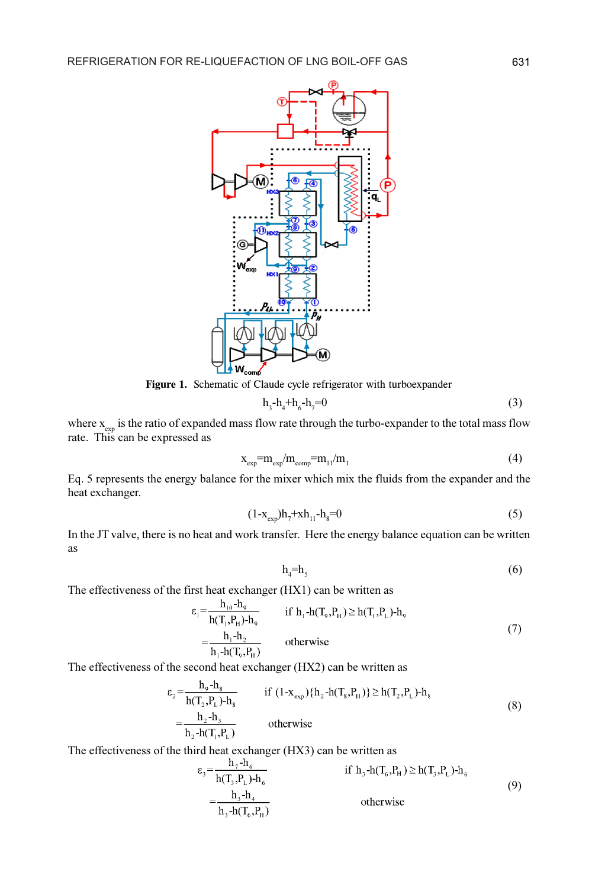

Figure 1. Schematic of Claude cycle refrigerator with turboexpander

$$
h_3 - h_4 + h_6 - h_7 = 0 \tag{3}
$$

where  $x_{\text{exp}}$  is the ratio of expanded mass flow rate through the turbo-expander to the total mass flow rate. This can be expressed as

$$
x_{\rm exp} = m_{\rm exp}/m_{\rm comp} = m_{11}/m_1 \tag{4}
$$

Eq. 5 represents the energy balance for the mixer which mix the fluids from the expander and the heat exchanger.

$$
(1-x_{\rm exp})h_7 + xh_{11} - h_8 = 0 \tag{5}
$$

In the JT valve, there is no heat and work transfer. Here the energy balance equation can be written as

$$
h_4 = h_5 \tag{6}
$$

The effectiveness of the first heat exchanger (HX1) can be written as

$$
\varepsilon_1 = \frac{h_{10} - h_9}{h(T_1, P_H) - h_9}
$$
 if  $h_1 - h(T_9, P_H) \ge h(T_1, P_L) - h_9$   
=  $\frac{h_1 - h_2}{h_1 - h(T_9, P_H)}$  otherwise (7)

The effectiveness of the second heat exchanger (HX2) can be written as

$$
\varepsilon_{2} = \frac{h_{9} - h_{8}}{h(T_{2}, P_{L}) - h_{8}} \quad \text{if } (1 - x_{exp}) \{h_{2} - h(T_{8}, P_{H})\} \ge h(T_{2}, P_{L}) - h_{8}
$$
\n
$$
= \frac{h_{2} - h_{3}}{h_{2} - h(T_{1}, P_{L})} \quad \text{otherwise}
$$
\n(8)

The effectiveness of the third heat exchanger (HX3) can be written as

$$
\varepsilon_{3} = \frac{h_{3} - h_{6}}{h(T_{3}, P_{L}) - h_{6}} \quad \text{if } h_{3} - h(T_{6}, P_{H}) \geq h(T_{3}, P_{L}) - h_{6}
$$
\n
$$
= \frac{h_{3} - h_{4}}{h_{3} - h(T_{6}, P_{H})} \quad \text{otherwise}
$$
\n(9)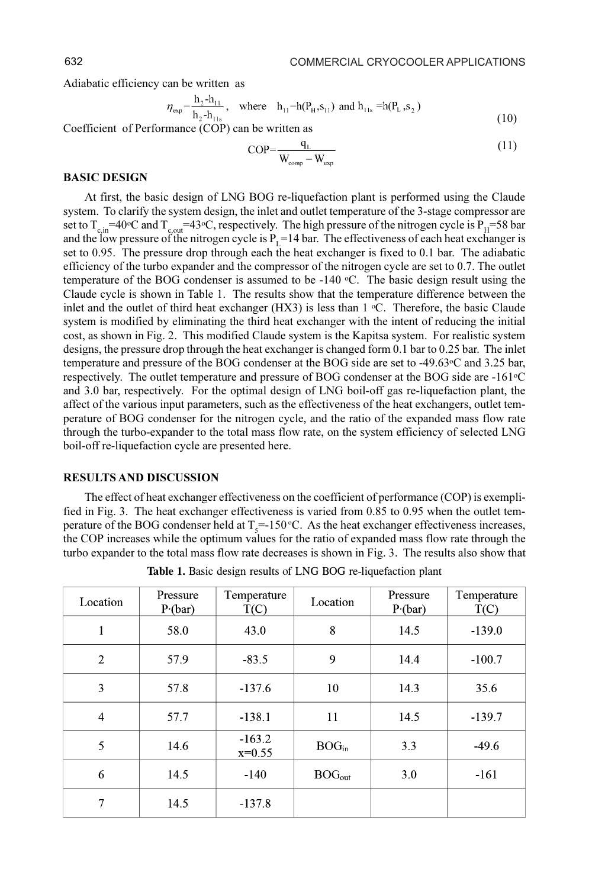Adiabatic efficiency can be written as

$$
\eta_{\rm exp} = \frac{h_2 - h_{11}}{h_2 - h_{11s}}, \quad \text{where} \quad h_{11} = h(P_H, s_{11}) \text{ and } h_{11s} = h(P_L, s_2)
$$
\n(10)

Coefficient of Performance (COP) can be written as

$$
COP = \frac{q_L}{W_{\text{comp}} - W_{\text{exp}}}
$$
\n(11)

#### BASIC DESIGN

At first, the basic design of LNG BOG re-liquefaction plant is performed using the Claude system. To clarify the system design, the inlet and outlet temperature of the 3-stage compressor are set to  $T_{\text{c,m}}$ =40°C and  $T_{\text{c,out}}$ =43°C, respectively. The high pressure of the nitrogen cycle is P<sub>H</sub>=58 bar and the low pressure of the nitrogen cycle is  $P<sub>r</sub> = 14$  bar. The effectiveness of each heat exchanger is set to 0.95. The pressure drop through each the heat exchanger is fixed to 0.1 bar. The adiabatic efficiency of the turbo expander and the compressor of the nitrogen cycle are set to 0.7. The outlet temperature of the BOG condenser is assumed to be  $-140$  °C. The basic design result using the Claude cycle is shown in Table 1. The results show that the temperature difference between the inlet and the outlet of third heat exchanger (HX3) is less than  $1 \degree$ C. Therefore, the basic Claude system is modified by eliminating the third heat exchanger with the intent of reducing the initial cost, as shown in Fig. 2. This modified Claude system is the Kapitsa system. For realistic system designs, the pressure drop through the heat exchanger is changed form 0.1 bar to 0.25 bar. The inlet temperature and pressure of the BOG condenser at the BOG side are set to -49.63 $\degree$ C and 3.25 bar, respectively. The outlet temperature and pressure of BOG condenser at the BOG side are -161<sup>o</sup>C and 3.0 bar, respectively. For the optimal design of LNG boil-off gas re-liquefaction plant, the affect of the various input parameters, such as the effectiveness of the heat exchangers, outlet temperature of BOG condenser for the nitrogen cycle, and the ratio of the expanded mass flow rate through the turbo-expander to the total mass flow rate, on the system efficiency of selected LNG boil-off re-liquefaction cycle are presented here.

#### RESULTS AND DISCUSSION

The effect of heat exchanger effectiveness on the coefficient of performance (COP) is exemplified in Fig. 3. The heat exchanger effectiveness is varied from 0.85 to 0.95 when the outlet temperature of the BOG condenser held at  $T_s$ =-150 °C. As the heat exchanger effectiveness increases, the COP increases while the optimum values for the ratio of expanded mass flow rate through the turbo expander to the total mass flow rate decreases is shown in Fig. 3. The results also show that

| Location       | Pressure<br>$P$ (bar) | Temperature<br>T(C)  | Location          | Pressure<br>$P$ (bar) | Temperature<br>T(C) |
|----------------|-----------------------|----------------------|-------------------|-----------------------|---------------------|
| 1              | 58.0                  | 43.0                 | 8                 | 14.5                  | $-139.0$            |
| $\overline{2}$ | 57.9                  | $-83.5$              | 9                 | 14.4                  | $-100.7$            |
| 3              | 57.8                  | $-137.6$             | 10                | 14.3                  | 35.6                |
| $\overline{4}$ | 57.7                  | $-138.1$             | 11                | 14.5                  | $-139.7$            |
| 5              | 14.6                  | $-163.2$<br>$x=0.55$ | BOG <sub>in</sub> | 3.3                   | $-49.6$             |
| 6              | 14.5                  | $-140$               | $BOG_{out}$       | 3.0                   | $-161$              |
| 7              | 14.5                  | $-137.8$             |                   |                       |                     |

Table 1. Basic design results of LNG BOG re-liquefaction plant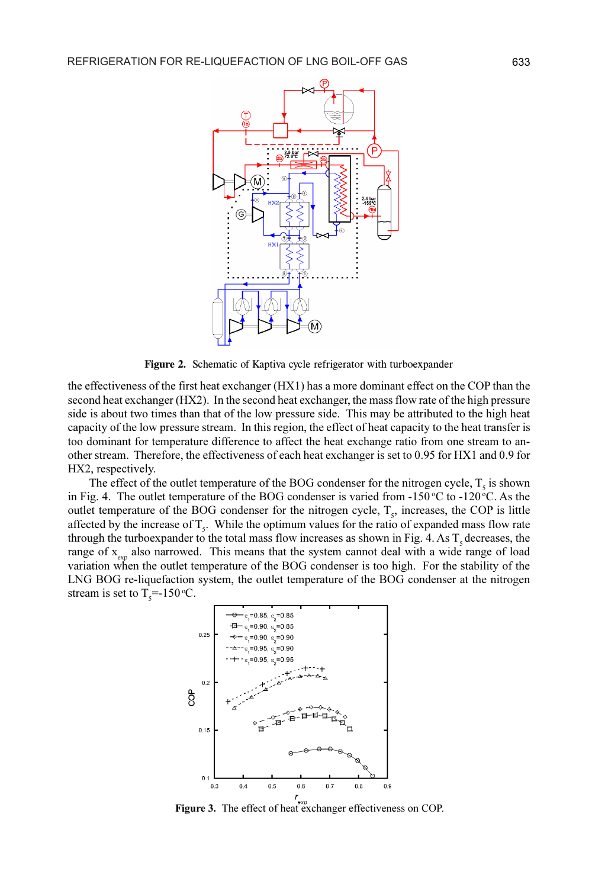

Figure 2. Schematic of Kaptiva cycle refrigerator with turboexpander

the effectiveness of the first heat exchanger (HX1) has a more dominant effect on the COP than the second heat exchanger (HX2). In the second heat exchanger, the mass flow rate of the high pressure side is about two times than that of the low pressure side. This may be attributed to the high heat capacity of the low pressure stream. In this region, the effect of heat capacity to the heat transfer is too dominant for temperature difference to affect the heat exchange ratio from one stream to another stream. Therefore, the effectiveness of each heat exchanger is set to 0.95 for HX1 and 0.9 for HX2, respectively.

The effect of the outlet temperature of the BOG condenser for the nitrogen cycle,  $T_s$  is shown in Fig. 4. The outlet temperature of the BOG condenser is varied from  $-150^{\circ}\text{C}$  to  $-120^{\circ}\text{C}$ . As the outlet temperature of the BOG condenser for the nitrogen cycle,  $T_s$ , increases, the COP is little affected by the increase of  $T_s$ . While the optimum values for the ratio of expanded mass flow rate through the turboexpander to the total mass flow increases as shown in Fig. 4. As  $T<sub>s</sub>$  decreases, the range of  $x_{\text{syn}}$  also narrowed. This means that the system cannot deal with a wide range of load variation when the outlet temperature of the BOG condenser is too high. For the stability of the LNG BOG re-liquefaction system, the outlet temperature of the BOG condenser at the nitrogen stream is set to  $T_s = 150$  °C.



Figure 3. The effect of heat exchanger effectiveness on COP.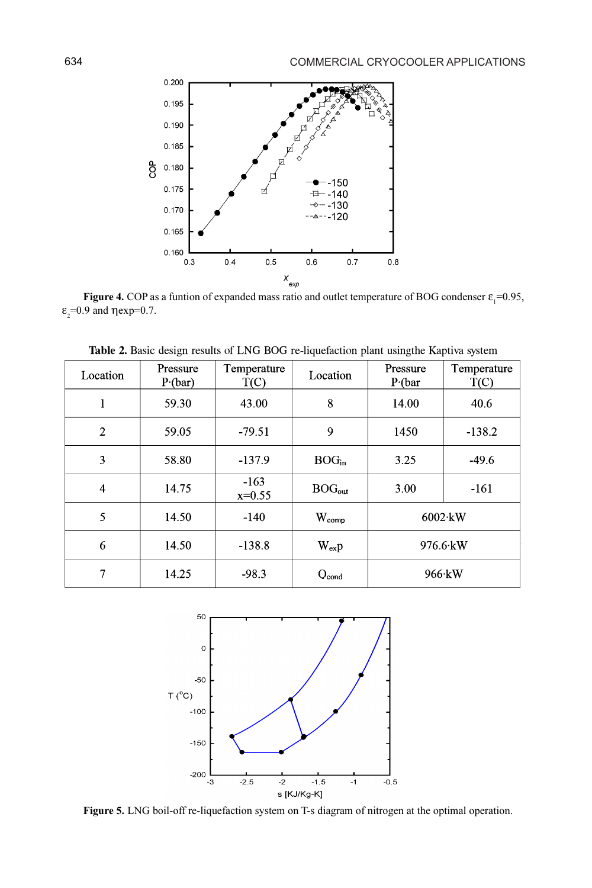

**Figure 4.** COP as a funtion of expanded mass ratio and outlet temperature of BOG condenser  $\epsilon_1$ =0.95, <br>9 and nevn=0.7  $\epsilon$ <sub>2</sub>=0.9 and  $\eta$ exp=0.7.

| Location       | Pressure<br>$P$ (bar) | Temperature<br>T(C) | Location          | Pressure<br>$P$ (bar | Temperature<br>T(C) |
|----------------|-----------------------|---------------------|-------------------|----------------------|---------------------|
| 1              | 59.30                 | 43.00               | 8                 | 14.00                | 40.6                |
| $\overline{2}$ | 59.05                 | $-79.51$            | 9                 | 1450                 | $-138.2$            |
| 3              | 58.80                 | $-137.9$            | BOG <sub>in</sub> | 3.25                 | $-49.6$             |
| 4              | 14.75                 | $-163$<br>$x=0.55$  | $BOG_{out}$       | 3.00                 | $-161$              |
| 5              | 14.50                 | $-140$              | $W_{comp}$        | $6002$ ·kW           |                     |
| 6              | 14.50                 | $-138.8$            | $W_{\rm ex}p$     | $976.6$ kW           |                     |
| 7              | 14.25                 | $-98.3$             | $Q_{cond}$        | $966$ kW             |                     |

Table 2. Basic design results of LNG BOG re-liquefaction plant usingthe Kaptiva system



Figure 5. LNG boil-off re-liquefaction system on T-s diagram of nitrogen at the optimal operation.